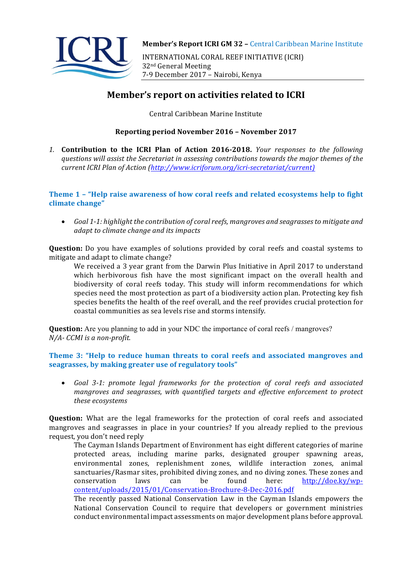

INTERNATIONAL CORAL REEF INITIATIVE (ICRI) 32nd General Meeting 7-9 December 2017 - Nairobi, Kenya

# **Member's report on activities related to ICRI**

Central Caribbean Marine Institute

# **Reporting period November 2016 – November 2017**

1. **Contribution to the ICRI Plan of Action 2016-2018.** *Your responses to the following* questions will assist the Secretariat in assessing contributions towards the major themes of the *current ICRI Plan of Action (http://www.icriforum.org/icri-secretariat/current)* 

# **Theme 1 - "Help raise awareness of how coral reefs and related ecosystems help to fight** climate change"

• Goal 1-1: highlight the contribution of coral reefs, mangroves and seagrasses to mitigate and *adapt to climate change and its impacts* 

**Question:** Do you have examples of solutions provided by coral reefs and coastal systems to mitigate and adapt to climate change?

We received a 3 year grant from the Darwin Plus Initiative in April 2017 to understand which herbivorous fish have the most significant impact on the overall health and biodiversity of coral reefs today. This study will inform recommendations for which species need the most protection as part of a biodiversity action plan. Protecting key fish species benefits the health of the reef overall, and the reef provides crucial protection for coastal communities as sea levels rise and storms intensify.

**Question:** Are you planning to add in your NDC the importance of coral reefs / mangroves? *N/A- CCMI is a non-profit.*

## **Theme 3: "Help to reduce human threats to coral reefs and associated mangroves and** seagrasses, by making greater use of regulatory tools"

• *Goal 3-1: promote legal frameworks for the protection of coral reefs and associated mangroves and seggrasses, with quantified targets and effective enforcement to protect these ecosystems* 

**Question:** What are the legal frameworks for the protection of coral reefs and associated mangroves and seagrasses in place in your countries? If you already replied to the previous request, you don't need reply

The Cayman Islands Department of Environment has eight different categories of marine protected areas, including marine parks, designated grouper spawning areas, environmental zones, replenishment zones, wildlife interaction zones, animal sanctuaries/Rasmar sites, prohibited diving zones, and no diving zones. These zones and  $\frac{1}{\text{conservation}}$  laws can be found here: http://doe.ky/wpcontent/uploads/2015/01/Conservation-Brochure-8-Dec-2016.pdf

The recently passed National Conservation Law in the Cayman Islands empowers the National Conservation Council to require that developers or government ministries conduct environmental impact assessments on major development plans before approval.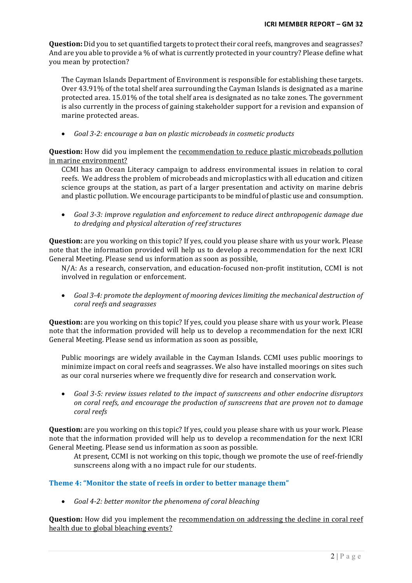**Question:** Did you to set quantified targets to protect their coral reefs, mangroves and seagrasses? And are you able to provide a % of what is currently protected in your country? Please define what you mean by protection?

The Cayman Islands Department of Environment is responsible for establishing these targets. Over 43.91% of the total shelf area surrounding the Cayman Islands is designated as a marine protected area. 15.01% of the total shelf area is designated as no take zones. The government is also currently in the process of gaining stakeholder support for a revision and expansion of marine protected areas.

• *Goal 3-2: encourage a ban on plastic microbeads in cosmetic products* 

**Question:** How did you implement the recommendation to reduce plastic microbeads pollution in marine environment?

CCMI has an Ocean Literacy campaign to address environmental issues in relation to coral reefs. We address the problem of microbeads and microplastics with all education and citizen science groups at the station, as part of a larger presentation and activity on marine debris and plastic pollution. We encourage participants to be mindful of plastic use and consumption.

• Goal 3-3: improve regulation and enforcement to reduce direct anthropogenic damage due to dredging and physical alteration of reef structures

**Question:** are you working on this topic? If yes, could you please share with us your work. Please note that the information provided will help us to develop a recommendation for the next ICRI General Meeting. Please send us information as soon as possible,

 $N/A$ : As a research, conservation, and education-focused non-profit institution, CCMI is not involved in regulation or enforcement.

• Goal 3-4: promote the deployment of mooring devices limiting the mechanical destruction of *coral reefs and seagrasses* 

**Question:** are you working on this topic? If yes, could you please share with us your work. Please note that the information provided will help us to develop a recommendation for the next ICRI General Meeting. Please send us information as soon as possible.

Public moorings are widely available in the Cayman Islands. CCMI uses public moorings to minimize impact on coral reefs and seagrasses. We also have installed moorings on sites such as our coral nurseries where we frequently dive for research and conservation work.

• Goal 3-5: review issues related to the impact of sunscreens and other endocrine disruptors *on coral reefs, and encourage the production of sunscreens that are proven not to damage coral reefs* 

**Question:** are you working on this topic? If yes, could you please share with us your work. Please note that the information provided will help us to develop a recommendation for the next ICRI General Meeting. Please send us information as soon as possible.

At present, CCMI is not working on this topic, though we promote the use of reef-friendly sunscreens along with a no impact rule for our students.

#### **Theme 4: "Monitor the state of reefs in order to better manage them"**

• *Goal 4-2: better monitor the phenomena of coral bleaching* 

**Question:** How did you implement the recommendation on addressing the decline in coral reef health due to global bleaching events?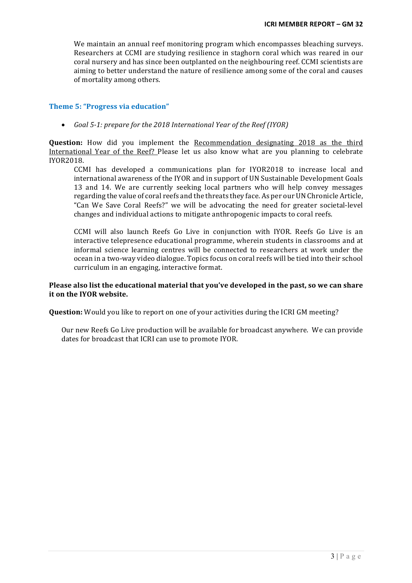We maintain an annual reef monitoring program which encompasses bleaching surveys. Researchers at CCMI are studying resilience in staghorn coral which was reared in our coral nursery and has since been outplanted on the neighbouring reef. CCMI scientists are aiming to better understand the nature of resilience among some of the coral and causes of mortality among others.

## **Theme 5: "Progress via education"**

• *Goal* 5-1: prepare for the 2018 International Year of the Reef (IYOR)

**Question:** How did you implement the Recommendation designating 2018 as the third International Year of the Reef? Please let us also know what are you planning to celebrate IYOR2018.

CCMI has developed a communications plan for IYOR2018 to increase local and international awareness of the IYOR and in support of UN Sustainable Development Goals 13 and 14. We are currently seeking local partners who will help convey messages regarding the value of coral reefs and the threats they face. As per our UN Chronicle Article, "Can We Save Coral Reefs?" we will be advocating the need for greater societal-level changes and individual actions to mitigate anthropogenic impacts to coral reefs.

CCMI will also launch Reefs Go Live in conjunction with IYOR. Reefs Go Live is an interactive telepresence educational programme, wherein students in classrooms and at informal science learning centres will be connected to researchers at work under the ocean in a two-way video dialogue. Topics focus on coral reefs will be tied into their school curriculum in an engaging, interactive format.

#### Please also list the educational material that you've developed in the past, so we can share **it on the IYOR website.**

**Question:** Would you like to report on one of your activities during the ICRI GM meeting?

Our new Reefs Go Live production will be available for broadcast anywhere. We can provide dates for broadcast that ICRI can use to promote IYOR.